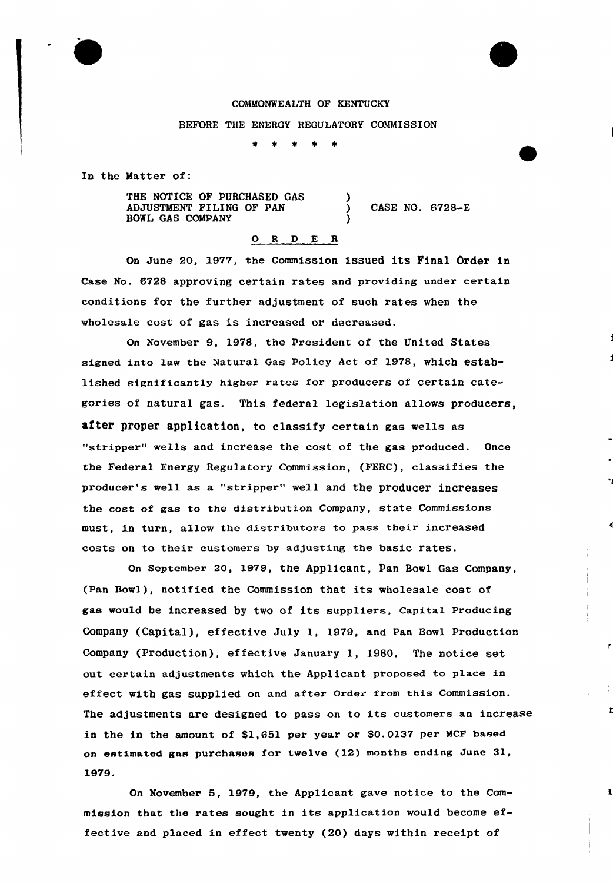### COMMONWEALTH OF KENTUCKY

#### BEFORE THE ENERGY REGULATORY COMMISSION

)

)

In the Matter of:

THE NOTICE OF PURCHASED GAS ADJUSTMENT FILING OF PAN BOWL GAS COMPANY

) CASE NO. 6728-E

r

 $\mathbf{a}$ 

# 0 <sup>R</sup> <sup>D</sup> E <sup>R</sup>

On June 20, 1977, the Commission issued its Final Order in Case No. 6728 approving certain rates and providing under certain conditions for the further adjustment of such rates when the wholesale cost of gas is increased or decreased.

On November 9, 1978, the President of the United States signed into law the Natural Gas Policy Act of 1978, which established significantly higher rates for producers of certain categories of natural gas. This federal legislation allows producers, after proper application, to classify certain gas wells as "stripper" wells and increase the cost of the gas produced. Once the Federal Energy Regulatory Commission, (FERC), classifies the producer's well as a "stripper" well and the producer increases the cost of gaa to the distribution Company, state Commissions must, in turn, allow the distributors to pass their increased costs on to their customers by adjusting the basic rates.

On September 20, 1979, the AppliCant, Pan BOWl Gaa COmpany, (Pan Bowl), notified the Commission that its wholesale coat of gas would be increased by two of its suppliers, Capital Producing Company (Capital), effective July 1, 1979, and pan Bowl Production Company (Production), effective January 1, 1980, The notice set out certain adjustments which the Applicant proposed to place in effect with gas supplied on and after Order from this Commission. The adjustments are designed to pass on to its customers an increase in the in the amount of \$1,651 per year or \$0.0137 per MCF based on estimated gas purchases for twelve (12) months ending June 31, 1979.

On November 5, 1979, the Applicant gave notice to the Commission that the rates sought in its application would become effective and placed in effect twenty (20) days within receipt of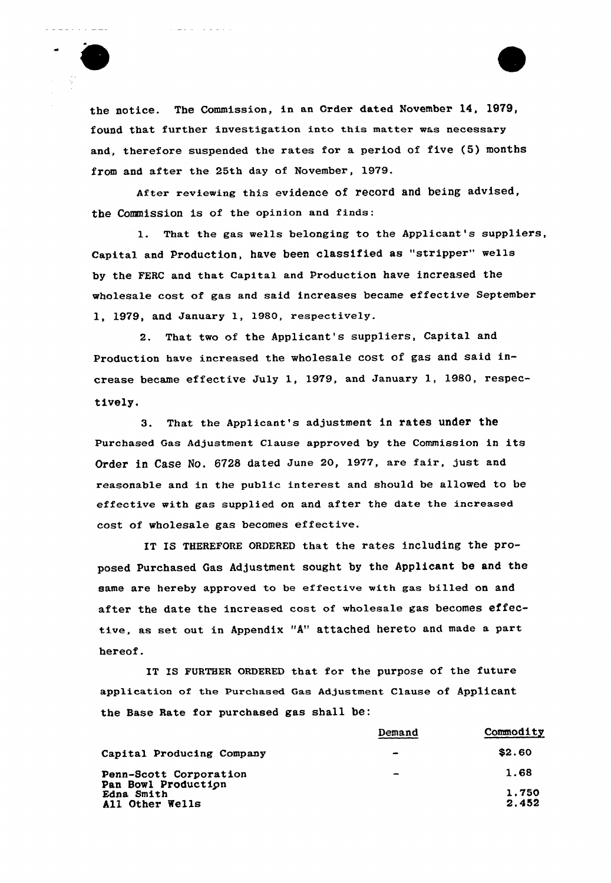

the notice. The Commission, in an Order dated November 14, 1979, found that further investigation into this matter was necessary and, therefore suspended the rates for a period of five (5) months from and after the 25th day of November, 1979.

After reviewing this evidence of record and being advised, the Commission is of the opinion and finds:

1. That the gas wells belonging to the Applicant's suppliers, Capital and production, have been classified as "stripper" wells by the FERC and that Capital and Production have increased the wholesale cost of gas and said increases became effective September 1, 1979, and January 1, 1980, respectively.

2. That two of the Applicant's suppliers, Capital and Production have increased the wholesale cost of gas and said increase became effective July 1, 1979, and January 1, 1980, respectively.

3. That the Applicant's adjustment in rates under the Purchased Gas Adjustment Clause approved by the Commission in its Order in Case No. 6728 dated June 20, 1977, are fair, just and reasonable and in the public interest and should be allowed to be effective with gas supplied on and after the date the increased cost of wholesale gas becomes effective.

IT IS THEREFORE ORDERED that the rates including the proposed Purchased Gas Adjustment sought by the Applicant be and the same are hereby approved to be effective with gas billed on and after the date the increased cost of wholesale gas becomes effective, as set out in Appendix "A" attached hereto and made a part hereof.

IT IS FURTHER ORDERED that for the purpose of the future application of the Purchased Gas Adjustment Clause of Applicant the Base Rate for purchased gas shall be:

| Demand        | Commodity |
|---------------|-----------|
| $\rightarrow$ | \$2.60    |
| $\frac{1}{2}$ | 1.68      |
|               | 1,750     |
|               | 2.452     |
|               |           |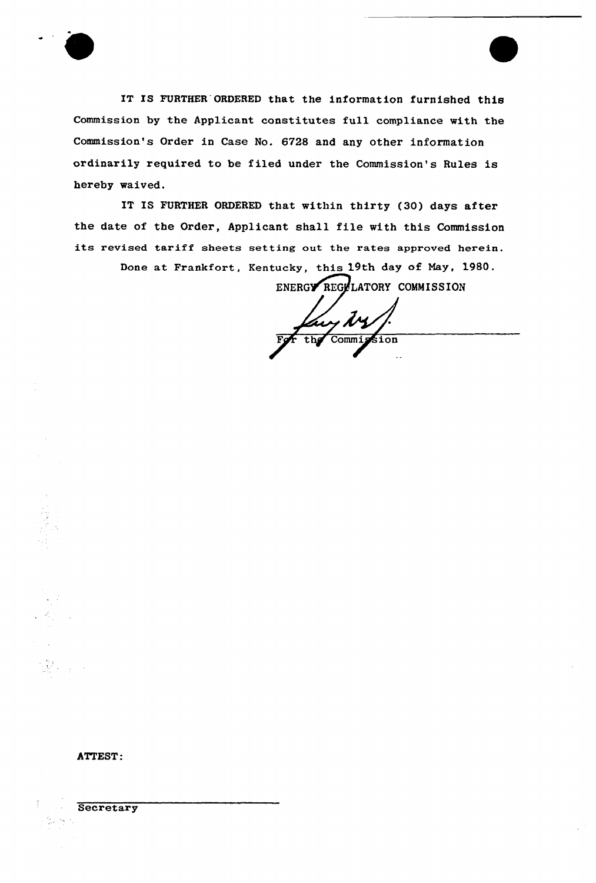

IT IS FURTHER'ORDERED that the information furnished this Commission by the Applicant constitutes full compliance with the Commission's Order in Case No. 6728 and any other information ordinarily required to be filed under the Commission's Rules is hereby waived.

IT IS FURTHER ORDERED that within thirty (30) days after the date of the Order, Applicant shall file with this Commission its revised tariff sheets setting out the rates approved herein.

Done at Frankfort, Kentucky, this 19th day of May, 1980.

ENERGY REGYLATORY COMMISSION

iy ty the Commission

ATTEST:

**Secretary**